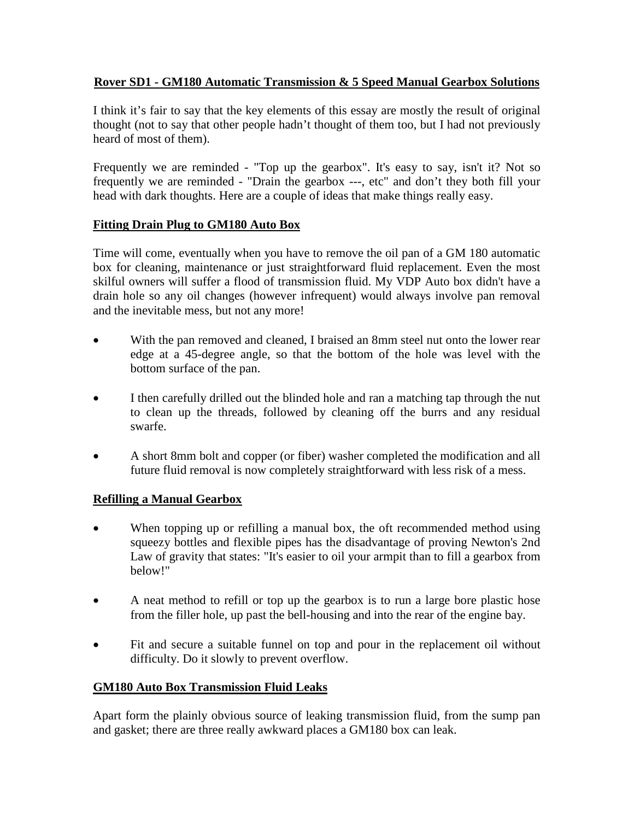## **Rover SD1 - GM180 Automatic Transmission & 5 Speed Manual Gearbox Solutions**

I think it's fair to say that the key elements of this essay are mostly the result of original thought (not to say that other people hadn't thought of them too, but I had not previously heard of most of them).

Frequently we are reminded - "Top up the gearbox". It's easy to say, isn't it? Not so frequently we are reminded - "Drain the gearbox ---, etc" and don't they both fill your head with dark thoughts. Here are a couple of ideas that make things really easy.

### **Fitting Drain Plug to GM180 Auto Box**

Time will come, eventually when you have to remove the oil pan of a GM 180 automatic box for cleaning, maintenance or just straightforward fluid replacement. Even the most skilful owners will suffer a flood of transmission fluid. My VDP Auto box didn't have a drain hole so any oil changes (however infrequent) would always involve pan removal and the inevitable mess, but not any more!

- With the pan removed and cleaned, I braised an 8mm steel nut onto the lower rear edge at a 45-degree angle, so that the bottom of the hole was level with the bottom surface of the pan.
- I then carefully drilled out the blinded hole and ran a matching tap through the nut to clean up the threads, followed by cleaning off the burrs and any residual swarfe.
- A short 8mm bolt and copper (or fiber) washer completed the modification and all future fluid removal is now completely straightforward with less risk of a mess.

# **Refilling a Manual Gearbox**

- When topping up or refilling a manual box, the oft recommended method using squeezy bottles and flexible pipes has the disadvantage of proving Newton's 2nd Law of gravity that states: "It's easier to oil your armpit than to fill a gearbox from below!"
- A neat method to refill or top up the gearbox is to run a large bore plastic hose from the filler hole, up past the bell-housing and into the rear of the engine bay.
- Fit and secure a suitable funnel on top and pour in the replacement oil without difficulty. Do it slowly to prevent overflow.

# **GM180 Auto Box Transmission Fluid Leaks**

Apart form the plainly obvious source of leaking transmission fluid, from the sump pan and gasket; there are three really awkward places a GM180 box can leak.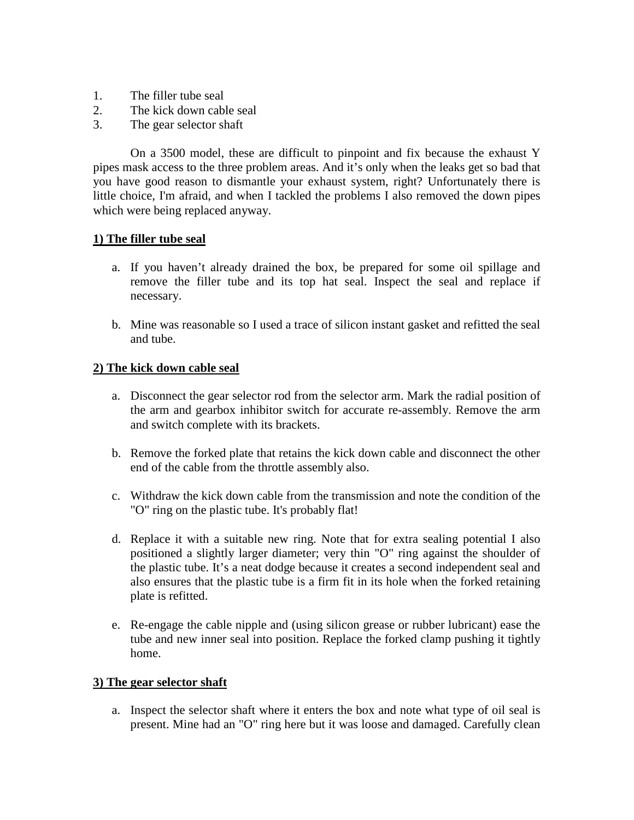- 1. The filler tube seal
- 2. The kick down cable seal
- 3. The gear selector shaft

On a 3500 model, these are difficult to pinpoint and fix because the exhaust Y pipes mask access to the three problem areas. And it's only when the leaks get so bad that you have good reason to dismantle your exhaust system, right? Unfortunately there is little choice, I'm afraid, and when I tackled the problems I also removed the down pipes which were being replaced anyway.

#### **1) The filler tube seal**

- a. If you haven't already drained the box, be prepared for some oil spillage and remove the filler tube and its top hat seal. Inspect the seal and replace if necessary.
- b. Mine was reasonable so I used a trace of silicon instant gasket and refitted the seal and tube.

#### **2) The kick down cable seal**

- a. Disconnect the gear selector rod from the selector arm. Mark the radial position of the arm and gearbox inhibitor switch for accurate re-assembly. Remove the arm and switch complete with its brackets.
- b. Remove the forked plate that retains the kick down cable and disconnect the other end of the cable from the throttle assembly also.
- c. Withdraw the kick down cable from the transmission and note the condition of the "O" ring on the plastic tube. It's probably flat!
- d. Replace it with a suitable new ring. Note that for extra sealing potential I also positioned a slightly larger diameter; very thin "O" ring against the shoulder of the plastic tube. It's a neat dodge because it creates a second independent seal and also ensures that the plastic tube is a firm fit in its hole when the forked retaining plate is refitted.
- e. Re-engage the cable nipple and (using silicon grease or rubber lubricant) ease the tube and new inner seal into position. Replace the forked clamp pushing it tightly home.

#### **3) The gear selector shaft**

a. Inspect the selector shaft where it enters the box and note what type of oil seal is present. Mine had an "O" ring here but it was loose and damaged. Carefully clean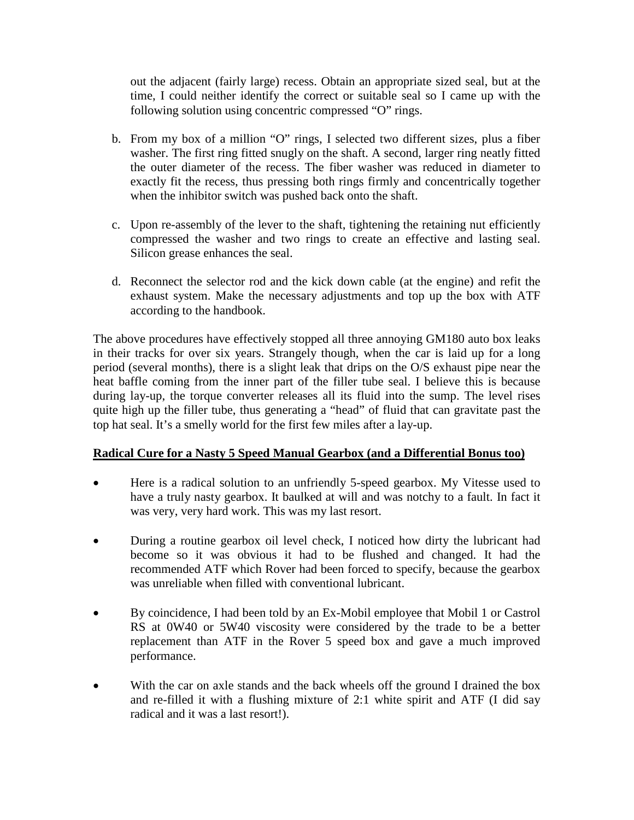out the adjacent (fairly large) recess. Obtain an appropriate sized seal, but at the time, I could neither identify the correct or suitable seal so I came up with the following solution using concentric compressed "O" rings.

- b. From my box of a million "O" rings, I selected two different sizes, plus a fiber washer. The first ring fitted snugly on the shaft. A second, larger ring neatly fitted the outer diameter of the recess. The fiber washer was reduced in diameter to exactly fit the recess, thus pressing both rings firmly and concentrically together when the inhibitor switch was pushed back onto the shaft.
- c. Upon re-assembly of the lever to the shaft, tightening the retaining nut efficiently compressed the washer and two rings to create an effective and lasting seal. Silicon grease enhances the seal.
- d. Reconnect the selector rod and the kick down cable (at the engine) and refit the exhaust system. Make the necessary adjustments and top up the box with ATF according to the handbook.

The above procedures have effectively stopped all three annoying GM180 auto box leaks in their tracks for over six years. Strangely though, when the car is laid up for a long period (several months), there is a slight leak that drips on the O/S exhaust pipe near the heat baffle coming from the inner part of the filler tube seal. I believe this is because during lay-up, the torque converter releases all its fluid into the sump. The level rises quite high up the filler tube, thus generating a "head" of fluid that can gravitate past the top hat seal. It's a smelly world for the first few miles after a lay-up.

### **Radical Cure for a Nasty 5 Speed Manual Gearbox (and a Differential Bonus too)**

- Here is a radical solution to an unfriendly 5-speed gearbox. My Vitesse used to have a truly nasty gearbox. It baulked at will and was notchy to a fault. In fact it was very, very hard work. This was my last resort.
- During a routine gearbox oil level check, I noticed how dirty the lubricant had become so it was obvious it had to be flushed and changed. It had the recommended ATF which Rover had been forced to specify, because the gearbox was unreliable when filled with conventional lubricant.
- By coincidence, I had been told by an Ex-Mobil employee that Mobil 1 or Castrol RS at 0W40 or 5W40 viscosity were considered by the trade to be a better replacement than ATF in the Rover 5 speed box and gave a much improved performance.
- With the car on axle stands and the back wheels off the ground I drained the box and re-filled it with a flushing mixture of 2:1 white spirit and ATF (I did say radical and it was a last resort!).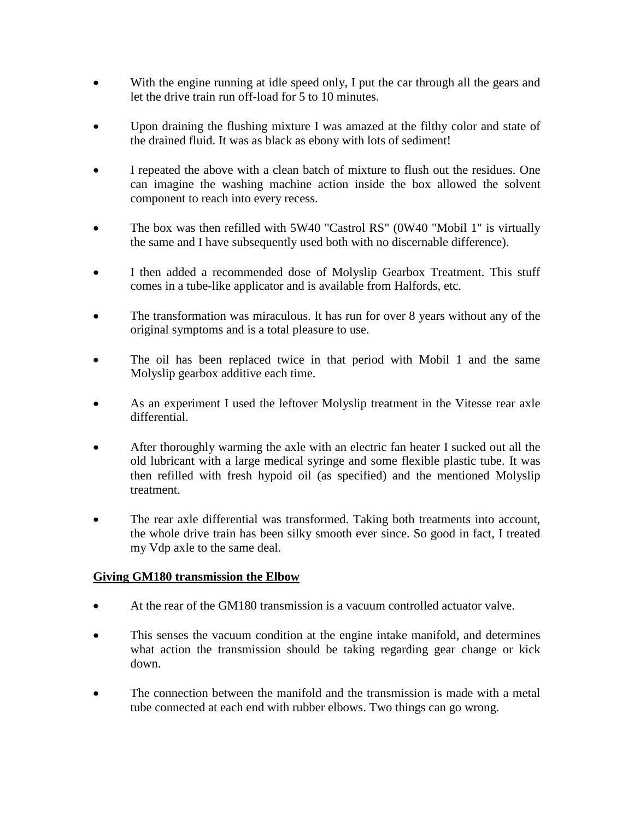- With the engine running at idle speed only, I put the car through all the gears and let the drive train run off-load for 5 to 10 minutes.
- Upon draining the flushing mixture I was amazed at the filthy color and state of the drained fluid. It was as black as ebony with lots of sediment!
- I repeated the above with a clean batch of mixture to flush out the residues. One can imagine the washing machine action inside the box allowed the solvent component to reach into every recess.
- The box was then refilled with 5W40 "Castrol RS" (0W40 "Mobil 1" is virtually the same and I have subsequently used both with no discernable difference).
- I then added a recommended dose of Molyslip Gearbox Treatment. This stuff comes in a tube-like applicator and is available from Halfords, etc.
- The transformation was miraculous. It has run for over 8 years without any of the original symptoms and is a total pleasure to use.
- The oil has been replaced twice in that period with Mobil 1 and the same Molyslip gearbox additive each time.
- As an experiment I used the leftover Molyslip treatment in the Vitesse rear axle differential.
- After thoroughly warming the axle with an electric fan heater I sucked out all the old lubricant with a large medical syringe and some flexible plastic tube. It was then refilled with fresh hypoid oil (as specified) and the mentioned Molyslip treatment.
- The rear axle differential was transformed. Taking both treatments into account, the whole drive train has been silky smooth ever since. So good in fact, I treated my Vdp axle to the same deal.

### **Giving GM180 transmission the Elbow**

- At the rear of the GM180 transmission is a vacuum controlled actuator valve.
- This senses the vacuum condition at the engine intake manifold, and determines what action the transmission should be taking regarding gear change or kick down.
- The connection between the manifold and the transmission is made with a metal tube connected at each end with rubber elbows. Two things can go wrong.